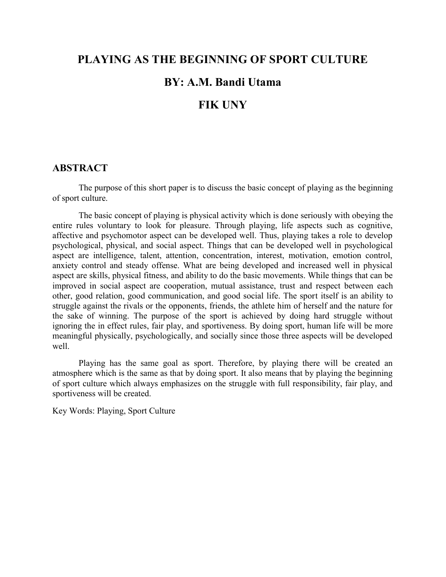## **PLAYING AS THE BEGINNING OF SPORT CULTURE**

# **BY: A.M. Bandi Utama**

# **FIK UNY**

### **ABSTRACT**

The purpose of this short paper is to discuss the basic concept of playing as the beginning of sport culture.

The basic concept of playing is physical activity which is done seriously with obeying the entire rules voluntary to look for pleasure. Through playing, life aspects such as cognitive, affective and psychomotor aspect can be developed well. Thus, playing takes a role to develop psychological, physical, and social aspect. Things that can be developed well in psychological aspect are intelligence, talent, attention, concentration, interest, motivation, emotion control, anxiety control and steady offense. What are being developed and increased well in physical aspect are skills, physical fitness, and ability to do the basic movements. While things that can be improved in social aspect are cooperation, mutual assistance, trust and respect between each other, good relation, good communication, and good social life. The sport itself is an ability to struggle against the rivals or the opponents, friends, the athlete him of herself and the nature for the sake of winning. The purpose of the sport is achieved by doing hard struggle without ignoring the in effect rules, fair play, and sportiveness. By doing sport, human life will be more meaningful physically, psychologically, and socially since those three aspects will be developed well.

Playing has the same goal as sport. Therefore, by playing there will be created an atmosphere which is the same as that by doing sport. It also means that by playing the beginning of sport culture which always emphasizes on the struggle with full responsibility, fair play, and sportiveness will be created.

Key Words: Playing, Sport Culture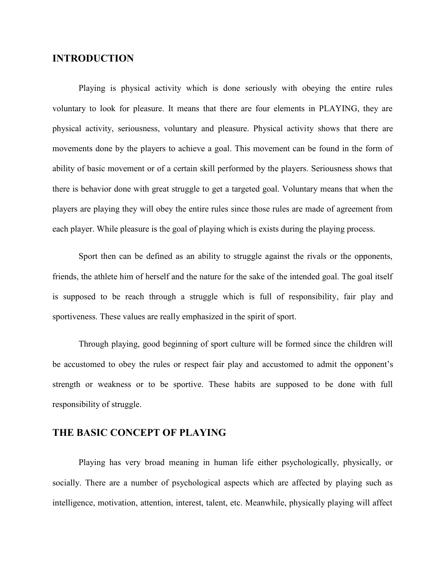## **INTRODUCTION**

Playing is physical activity which is done seriously with obeying the entire rules voluntary to look for pleasure. It means that there are four elements in PLAYING, they are physical activity, seriousness, voluntary and pleasure. Physical activity shows that there are movements done by the players to achieve a goal. This movement can be found in the form of ability of basic movement or of a certain skill performed by the players. Seriousness shows that there is behavior done with great struggle to get a targeted goal. Voluntary means that when the players are playing they will obey the entire rules since those rules are made of agreement from each player. While pleasure is the goal of playing which is exists during the playing process.

Sport then can be defined as an ability to struggle against the rivals or the opponents, friends, the athlete him of herself and the nature for the sake of the intended goal. The goal itself is supposed to be reach through a struggle which is full of responsibility, fair play and sportiveness. These values are really emphasized in the spirit of sport.

Through playing, good beginning of sport culture will be formed since the children will be accustomed to obey the rules or respect fair play and accustomed to admit the opponent's strength or weakness or to be sportive. These habits are supposed to be done with full responsibility of struggle.

#### **THE BASIC CONCEPT OF PLAYING**

Playing has very broad meaning in human life either psychologically, physically, or socially. There are a number of psychological aspects which are affected by playing such as intelligence, motivation, attention, interest, talent, etc. Meanwhile, physically playing will affect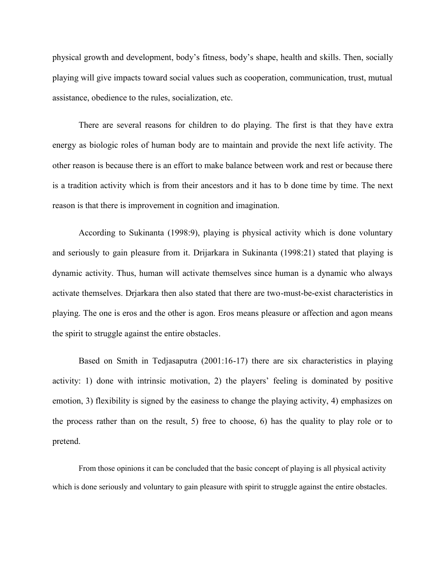physical growth and development, body's fitness, body's shape, health and skills. Then, socially playing will give impacts toward social values such as cooperation, communication, trust, mutual assistance, obedience to the rules, socialization, etc.

There are several reasons for children to do playing. The first is that they have extra energy as biologic roles of human body are to maintain and provide the next life activity. The other reason is because there is an effort to make balance between work and rest or because there is a tradition activity which is from their ancestors and it has to b done time by time. The next reason is that there is improvement in cognition and imagination.

According to Sukinanta (1998:9), playing is physical activity which is done voluntary and seriously to gain pleasure from it. Drijarkara in Sukinanta (1998:21) stated that playing is dynamic activity. Thus, human will activate themselves since human is a dynamic who always activate themselves. Drjarkara then also stated that there are two-must-be-exist characteristics in playing. The one is eros and the other is agon. Eros means pleasure or affection and agon means the spirit to struggle against the entire obstacles.

Based on Smith in Tedjasaputra (2001:16-17) there are six characteristics in playing activity: 1) done with intrinsic motivation, 2) the players' feeling is dominated by positive emotion, 3) flexibility is signed by the easiness to change the playing activity, 4) emphasizes on the process rather than on the result, 5) free to choose, 6) has the quality to play role or to pretend.

From those opinions it can be concluded that the basic concept of playing is all physical activity which is done seriously and voluntary to gain pleasure with spirit to struggle against the entire obstacles.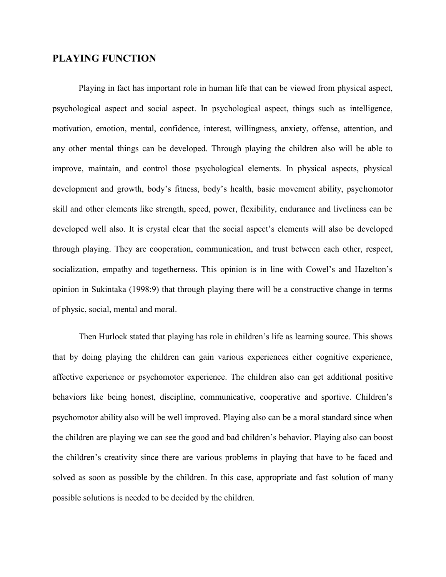### **PLAYING FUNCTION**

Playing in fact has important role in human life that can be viewed from physical aspect, psychological aspect and social aspect. In psychological aspect, things such as intelligence, motivation, emotion, mental, confidence, interest, willingness, anxiety, offense, attention, and any other mental things can be developed. Through playing the children also will be able to improve, maintain, and control those psychological elements. In physical aspects, physical development and growth, body's fitness, body's health, basic movement ability, psychomotor skill and other elements like strength, speed, power, flexibility, endurance and liveliness can be developed well also. It is crystal clear that the social aspect's elements will also be developed through playing. They are cooperation, communication, and trust between each other, respect, socialization, empathy and togetherness. This opinion is in line with Cowel's and Hazelton's opinion in Sukintaka (1998:9) that through playing there will be a constructive change in terms of physic, social, mental and moral.

Then Hurlock stated that playing has role in children's life as learning source. This shows that by doing playing the children can gain various experiences either cognitive experience, affective experience or psychomotor experience. The children also can get additional positive behaviors like being honest, discipline, communicative, cooperative and sportive. Children's psychomotor ability also will be well improved. Playing also can be a moral standard since when the children are playing we can see the good and bad children's behavior. Playing also can boost the children's creativity since there are various problems in playing that have to be faced and solved as soon as possible by the children. In this case, appropriate and fast solution of many possible solutions is needed to be decided by the children.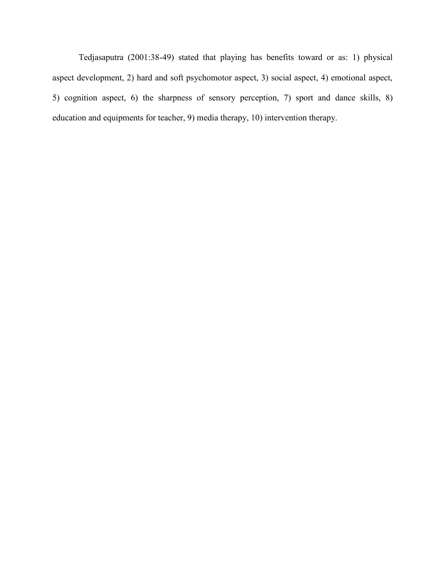Tedjasaputra (2001:38-49) stated that playing has benefits toward or as: 1) physical aspect development, 2) hard and soft psychomotor aspect, 3) social aspect, 4) emotional aspect, 5) cognition aspect, 6) the sharpness of sensory perception, 7) sport and dance skills, 8) education and equipments for teacher, 9) media therapy, 10) intervention therapy.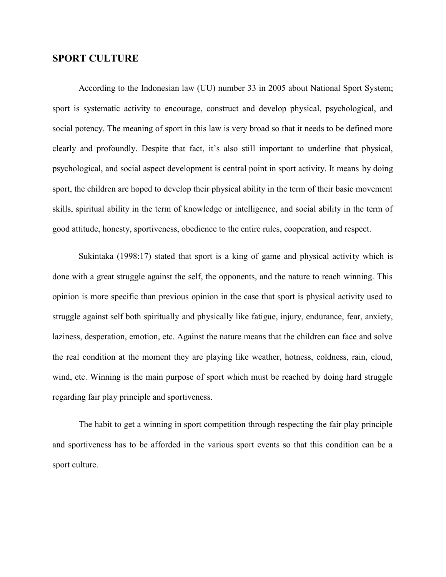### **SPORT CULTURE**

According to the Indonesian law (UU) number 33 in 2005 about National Sport System; sport is systematic activity to encourage, construct and develop physical, psychological, and social potency. The meaning of sport in this law is very broad so that it needs to be defined more clearly and profoundly. Despite that fact, it's also still important to underline that physical, psychological, and social aspect development is central point in sport activity. It means by doing sport, the children are hoped to develop their physical ability in the term of their basic movement skills, spiritual ability in the term of knowledge or intelligence, and social ability in the term of good attitude, honesty, sportiveness, obedience to the entire rules, cooperation, and respect.

Sukintaka (1998:17) stated that sport is a king of game and physical activity which is done with a great struggle against the self, the opponents, and the nature to reach winning. This opinion is more specific than previous opinion in the case that sport is physical activity used to struggle against self both spiritually and physically like fatigue, injury, endurance, fear, anxiety, laziness, desperation, emotion, etc. Against the nature means that the children can face and solve the real condition at the moment they are playing like weather, hotness, coldness, rain, cloud, wind, etc. Winning is the main purpose of sport which must be reached by doing hard struggle regarding fair play principle and sportiveness.

The habit to get a winning in sport competition through respecting the fair play principle and sportiveness has to be afforded in the various sport events so that this condition can be a sport culture.